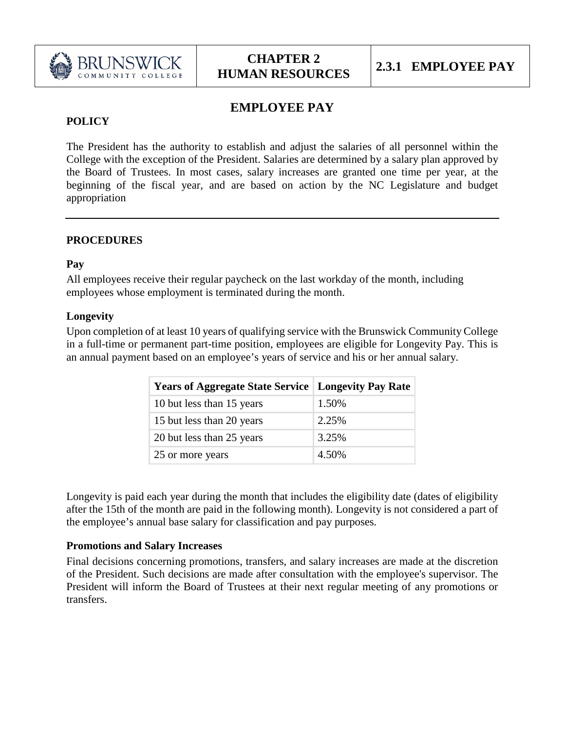

# **EMPLOYEE PAY**

## **POLICY**

The President has the authority to establish and adjust the salaries of all personnel within the College with the exception of the President. Salaries are determined by a salary plan approved by the Board of Trustees. In most cases, salary increases are granted one time per year, at the beginning of the fiscal year, and are based on action by the NC Legislature and budget appropriation

#### **PROCEDURES**

#### **Pay**

All employees receive their regular paycheck on the last workday of the month, including employees whose employment is terminated during the month.

#### **Longevity**

Upon completion of at least 10 years of qualifying service with the Brunswick Community College in a full-time or permanent part-time position, employees are eligible for Longevity Pay. This is an annual payment based on an employee's years of service and his or her annual salary.

| <b>Years of Aggregate State Service   Longevity Pay Rate</b> |       |
|--------------------------------------------------------------|-------|
| 10 but less than 15 years                                    | 1.50% |
| 15 but less than 20 years                                    | 2.25% |
| 20 but less than 25 years                                    | 3.25% |
| 25 or more years                                             | 4.50% |

Longevity is paid each year during the month that includes the eligibility date (dates of eligibility after the 15th of the month are paid in the following month). Longevity is not considered a part of the employee's annual base salary for classification and pay purposes.

### **Promotions and Salary Increases**

Final decisions concerning promotions, transfers, and salary increases are made at the discretion of the President. Such decisions are made after consultation with the employee's supervisor. The President will inform the Board of Trustees at their next regular meeting of any promotions or transfers.